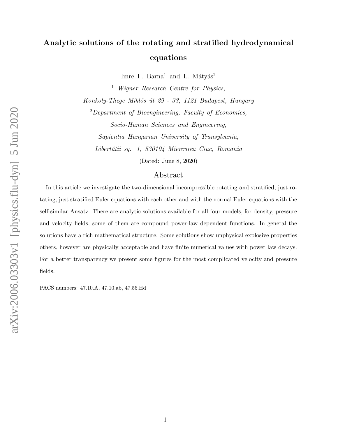# Analytic solutions of the rotating and stratified hydrodynamical equations

Imre F. Barna<sup>1</sup> and L. Mátyás<sup>2</sup>

<sup>1</sup> Wigner Research Centre for Physics, Konkoly-Thege Miklós út 29 - 33, 1121 Budapest, Hungary  $2$ Department of Bioengineering, Faculty of Economics,

Socio-Human Sciences and Engineering, Sapientia Hungarian University of Transylvania, Libertății sq. 1, 530104 Miercurea Ciuc, Romania

(Dated: June 8, 2020)

## Abstract

In this article we investigate the two-dimensional incompressible rotating and stratified, just rotating, just stratified Euler equations with each other and with the normal Euler equations with the self-similar Ansatz. There are analytic solutions available for all four models, for density, pressure and velocity fields, some of them are compound power-law dependent functions. In general the solutions have a rich mathematical structure. Some solutions show unphysical explosive properties others, however are physically acceptable and have finite numerical values with power law decays. For a better transparency we present some figures for the most complicated velocity and pressure fields.

PACS numbers: 47.10.A, 47.10.ab, 47.55.Hd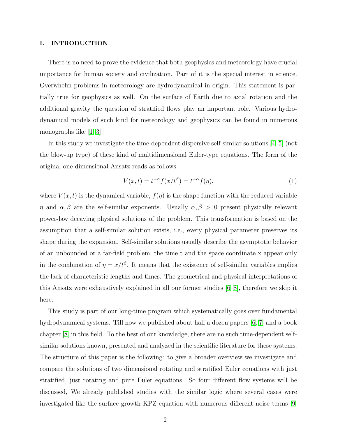#### I. INTRODUCTION

There is no need to prove the evidence that both geophysics and meteorology have crucial importance for human society and civilization. Part of it is the special interest in science. Overwhelm problems in meteorology are hydrodynamical in origin. This statement is partially true for geophysics as well. On the surface of Earth due to axial rotation and the additional gravity the question of stratified flows play an important role. Various hydrodynamical models of such kind for meteorology and geophysics can be found in numerous monographs like [\[1](#page-13-0)[–3\]](#page-13-1).

In this study we investigate the time-dependent dispersive self-similar solutions [\[4,](#page-13-2) [5\]](#page-13-3) (not the blow-up type) of these kind of multidimensional Euler-type equations. The form of the original one-dimensional Ansatz reads as follows

$$
V(x,t) = t^{-\alpha} f(x/t^{\beta}) = t^{-\alpha} f(\eta),
$$
\n(1)

where  $V(x, t)$  is the dynamical variable,  $f(\eta)$  is the shape function with the reduced variable  $η$  and  $α, β$  are the self-similar exponents. Usually  $α, β > 0$  present physically relevant power-law decaying physical solutions of the problem. This transformation is based on the assumption that a self-similar solution exists, i.e., every physical parameter preserves its shape during the expansion. Self-similar solutions usually describe the asymptotic behavior of an unbounded or a far-field problem; the time t and the space coordinate x appear only in the combination of  $\eta = x/t^{\beta}$ . It means that the existence of self-similar variables implies the lack of characteristic lengths and times. The geometrical and physical interpretations of this Ansatz were exhaustively explained in all our former studies [\[6](#page-13-4)[–8\]](#page-14-0), therefore we skip it here.

This study is part of our long-time program which systematically goes over fundamental hydrodynamical systems. Till now we published about half a dozen papers [\[6,](#page-13-4) [7\]](#page-13-5) and a book chapter [\[8\]](#page-14-0) in this field. To the best of our knowledge, there are no such time-dependent selfsimilar solutions known, presented and analyzed in the scientific literature for these systems. The structure of this paper is the following: to give a broader overview we investigate and compare the solutions of two dimensional rotating and stratified Euler equations with just stratified, just rotating and pure Euler equations. So four different flow systems will be discussed, We already published studies with the similar logic where several cases were investigated like the surface growth KPZ equation with numerous different noise terms [\[9\]](#page-14-1)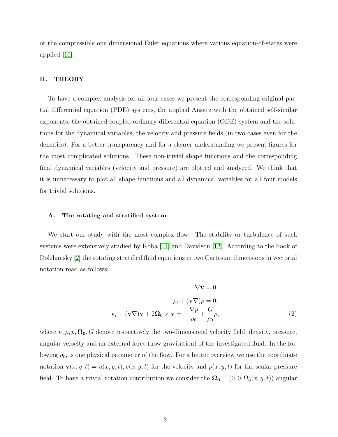or the compressible one dimensional Euler equations where various equation-of-states were applied [\[10\]](#page-14-2).

#### II. THEORY

To have a complex analysis for all four cases we present the corresponding original partial differential equation (PDE) systems, the applied Ansatz with the obtained self-similar exponents, the obtained coupled ordinary differential equation (ODE) system and the solutions for the dynamical variables, the velocity and pressure fields (in two cases even for the densities). For a better transparency and for a clearer understanding we present figures for the most complicated solutions. These non-trivial shape functions and the corresponding final dynamical variables (velocity and pressure) are plotted and analyzed. We think that it is unnecessary to plot all shape functions and all dynamical variables for all four models for trivial solutions.

#### A. The rotating and stratified system

We start our study with the most complex flow. The stability or turbulence of such systems were extensively studied by Koba [\[11\]](#page-14-3) and Davidson [\[12\]](#page-14-4). According to the book of Dolzhansky [\[2\]](#page-13-6) the rotating stratified fluid equations in two Cartesian dimensions in vectorial notation read as follows:

<span id="page-2-0"></span>
$$
\nabla \mathbf{v} = 0,
$$
  
\n
$$
\rho_t + (\mathbf{v} \nabla)\rho = 0,
$$
  
\n
$$
\mathbf{v}_t + (\mathbf{v} \nabla)\mathbf{v} + 2\Omega_0 \times \mathbf{v} = -\frac{\nabla p}{\rho_0} + \frac{G}{\rho_0} \rho,
$$
\n(2)

where  $\mathbf{v}, \rho, p, \Omega_0, G$  denote respectively the two-dimensional velocity field, density, pressure, angular velocity and an external force (now gravitation) of the investigated fluid. In the following  $\rho_0$ , is one physical parameter of the flow. For a better overview we use the coordinate notation  $\mathbf{v}(x, y, t) = u(x, y, t), v(x, y, t)$  for the velocity and  $p(x, y, t)$  for the scalar pressure field. To have a trivial rotation contribution we consider the  $\Omega_0 = (0, 0, \Omega_0^z(x, y, t))$  angular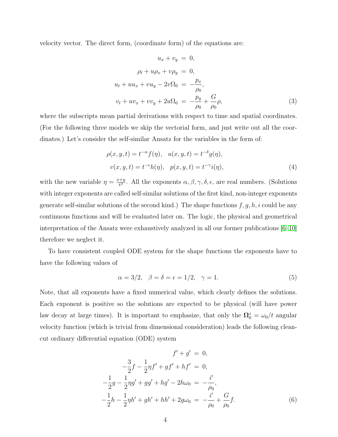velocity vector. The direct form, (coordinate form) of the equations are:

$$
u_x + v_y = 0,
$$
  
\n
$$
\rho_t + u\rho_x + v\rho_y = 0,
$$
  
\n
$$
u_t + uu_x + vu_y - 2v\Omega_0 = -\frac{p_x}{\rho_0},
$$
  
\n
$$
v_t + uv_x + vv_y + 2u\Omega_0 = -\frac{p_y}{\rho_0} + \frac{G}{\rho_0}\rho,
$$
\n(3)

where the subscripts mean partial derivations with respect to time and spatial coordinates. (For the following three models we skip the vectorial form, and just write out all the coordinates.) Let's consider the self-similar Ansatz for the variables in the form of:

$$
\rho(x, y, t) = t^{-\alpha} f(\eta), \quad u(x, y, t) = t^{-\delta} g(\eta),
$$
  

$$
v(x, y, t) = t^{-\epsilon} h(\eta), \quad p(x, y, t) = t^{-\gamma} i(\eta),
$$
 (4)

with the new variable  $\eta = \frac{x+y}{t^{\beta}}$  $\frac{d+y}{d\beta}$ . All the exponents  $\alpha, \beta, \gamma, \delta, \epsilon$ , are real numbers. (Solutions with integer exponents are called self-similar solutions of the first kind, non-integer exponents generate self-similar solutions of the second kind.) The shape functions  $f, g, h, i$  could be any continuous functions and will be evaluated later on. The logic, the physical and geometrical interpretation of the Ansatz were exhaustively analyzed in all our former publications [\[6](#page-13-4)[–10\]](#page-14-2) therefore we neglect it.

To have consistent coupled ODE system for the shape functions the exponents have to have the following values of

$$
\alpha = 3/2, \quad \beta = \delta = \epsilon = 1/2, \quad \gamma = 1. \tag{5}
$$

Note, that all exponents have a fixed numerical value, which clearly defines the solutions. Each exponent is positive so the solutions are expected to be physical (will have power law decay at large times). It is important to emphasize, that only the  $\Omega_0^z = \omega_0/t$  angular velocity function (which is trivial from dimensional consideration) leads the following cleancut ordinary differential equation (ODE) system

<span id="page-3-0"></span>
$$
f' + g' = 0,
$$
  
\n
$$
-\frac{3}{2}f - \frac{1}{2}\eta f' + gf' + hf' = 0,
$$
  
\n
$$
-\frac{1}{2}g - \frac{1}{2}\eta g' + gg' + hg' - 2h\omega_0 = -\frac{i'}{\rho_0},
$$
  
\n
$$
-\frac{1}{2}h - \frac{1}{2}\eta h' + gh' + hh' + 2g\omega_0 = -\frac{i'}{\rho_0} + \frac{G}{\rho_0}f.
$$
  
\n(6)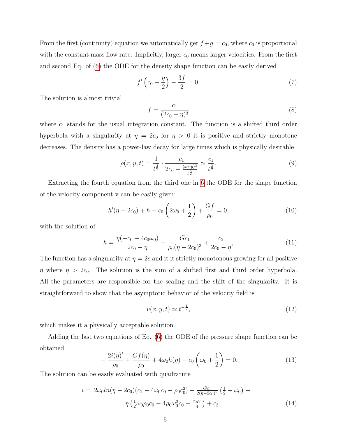From the first (continuity) equation we automatically get  $f+g = c_0$ , where  $c_0$  is proportional with the constant mass flow rate. Implicitly, larger  $c_0$  means larger velocities. From the first and second Eq. of [\(6\)](#page-3-0) the ODE for the density shape function can be easily derived

$$
f'\left(c_0 - \frac{\eta}{2}\right) - \frac{3f}{2} = 0.\tag{7}
$$

The solution is almost trivial

$$
f = \frac{c_1}{(2c_0 - \eta)^3} \tag{8}
$$

where  $c_1$  stands for the usual integration constant. The function is a shifted third order hyperbola with a singularity at  $\eta = 2c_0$  for  $\eta > 0$  it is positive and strictly monotone decreases. The density has a power-law decay for large times which is physically desirable

$$
\rho(x, y, t) = \frac{1}{t^{\frac{3}{2}}} \cdot \frac{c_1}{2c_0 - \frac{(x+y)^3}{t^{\frac{3}{2}}}} \simeq \frac{c_1}{t^{\frac{3}{2}}}.
$$
\n(9)

Extracting the fourth equation from the third one in [6](#page-3-0) the ODE for the shape function of the velocity component v can be easily given:

$$
h'(\eta - 2c_0) + h - c_0 \left(2\omega_0 + \frac{1}{2}\right) + \frac{Gf}{\rho_0} = 0,
$$
\n(10)

with the solution of

$$
h = \frac{\eta(-c_0 - 4c_0\omega_0)}{2c_0 - \eta} - \frac{Gc_1}{\rho_0(\eta - 2c_0)^3} + \frac{c_2}{2c_0 - \eta},\tag{11}
$$

The function has a singularity at  $\eta = 2c$  and it it strictly monotonous growing for all positive  $\eta$  where  $\eta > 2c_0$ . The solution is the sum of a shifted first and third order hyperbola. All the parameters are responsible for the scaling and the shift of the singularity. It is straightforward to show that the asymptotic behavior of the velocity field is

$$
v(x, y, t) \simeq t^{-\frac{1}{2}},\tag{12}
$$

which makes it a physically acceptable solution.

Adding the last two equations of Eq. [\(6\)](#page-3-0) the ODE of the pressure shape function can be obtained

$$
-\frac{2i(\eta)'}{\rho_0} + \frac{Gf(\eta)}{\rho_0} + 4\omega_0 h(\eta) - c_0 \left(\omega_0 + \frac{1}{2}\right) = 0.
$$
 (13)

The solution can be easily evaluated with quadrature

<span id="page-4-0"></span>
$$
i = 2\omega_0 \ln(\eta - 2c_0)(c_2 - 4\omega_0 c_0 - \rho_0 c_0^2) + \frac{Gc_1}{2(\eta - 2c_0)^2} \left(\frac{1}{2} - \omega_0\right) + \eta \left(\frac{1}{2}\omega_0 \rho_0 c_0 - 4\rho_0 \omega_0^2 c_0 - \frac{c_0 \rho_0}{4}\right) + c_3.
$$
\n(14)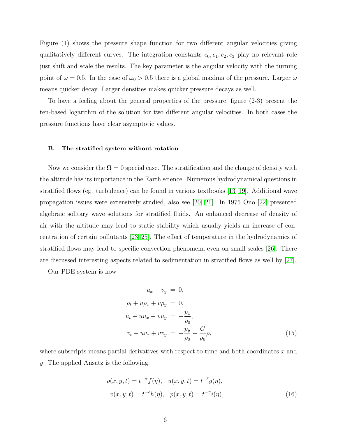Figure (1) shows the pressure shape function for two different angular velocities giving qualitatively different curves. The integration constants  $c_0, c_1, c_2, c_3$  play no relevant role just shift and scale the results. The key parameter is the angular velocity with the turning point of  $\omega = 0.5$ . In the case of  $\omega_0 > 0.5$  there is a global maxima of the pressure. Larger  $\omega$ means quicker decay. Larger densities makes quicker pressure decays as well.

To have a feeling about the general properties of the pressure, figure (2-3) present the ten-based logarithm of the solution for two different angular velocities. In both cases the pressure functions have clear asymptotic values.

#### B. The stratified system without rotation

Now we consider the  $\Omega = 0$  special case. The stratification and the change of density with the altitude has its importance in the Earth science. Numerous hydrodynamical questions in stratified flows (eg. turbulence) can be found in various textbooks [\[13–](#page-14-5)[19\]](#page-14-6). Additional wave propagation issues were extensively studied, also see [\[20,](#page-14-7) [21\]](#page-14-8). In 1975 Ono [\[22\]](#page-14-9) presented algebraic solitary wave solutions for stratified fluids. An enhanced decrease of density of air with the altitude may lead to static stability which usually yields an increase of concentration of certain pollutants [\[23–](#page-14-10)[25\]](#page-14-11). The effect of temperature in the hydrodynamics of stratified flows may lead to specific convection phenomena even on small scales [\[26\]](#page-14-12). There are discussed interesting aspects related to sedimentation in stratified flows as well by [\[27\]](#page-14-13).

Our PDE system is now

$$
u_x + v_y = 0,
$$
  
\n
$$
\rho_t + u\rho_x + v\rho_y = 0,
$$
  
\n
$$
u_t + uu_x + vu_y = -\frac{p_x}{\rho_0},
$$
  
\n
$$
v_t + uv_x + vv_y = -\frac{p_y}{\rho_0} + \frac{G}{\rho_0}\rho,
$$
\n(15)

where subscripts means partial derivatives with respect to time and both coordinates  $x$  and y. The applied Ansatz is the following:

$$
\rho(x, y, t) = t^{-\alpha} f(\eta), \quad u(x, y, t) = t^{-\delta} g(\eta),
$$
  

$$
v(x, y, t) = t^{-\epsilon} h(\eta), \quad p(x, y, t) = t^{-\gamma} i(\eta),
$$
 (16)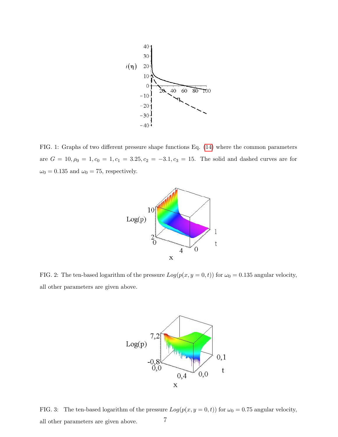

FIG. 1: Graphs of two different pressure shape functions Eq. [\(14\)](#page-4-0) where the common parameters are  $G = 10, \rho_0 = 1, c_0 = 1, c_1 = 3.25, c_2 = -3.1, c_3 = 15$ . The solid and dashed curves are for  $\omega_0=0.135$  and  $\omega_0=75,$  respectively.



FIG. 2: The ten-based logarithm of the pressure  $Log(p(x, y = 0, t))$  for  $\omega_0 = 0.135$  angular velocity, all other parameters are given above.



FIG. 3: The ten-based logarithm of the pressure  $Log(p(x, y = 0, t))$  for  $\omega_0 = 0.75$  angular velocity, all other parameters are given above.  $7$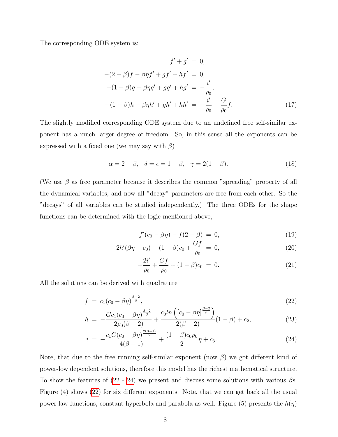The corresponding ODE system is:

$$
f' + g' = 0,
$$
  
\n
$$
-(2 - \beta)f - \beta\eta f' + gf' + hf' = 0,
$$
  
\n
$$
-(1 - \beta)g - \beta\eta g' + gg' + hg' = -\frac{i'}{\rho_0},
$$
  
\n
$$
-(1 - \beta)h - \beta\eta h' + gh' + hh' = -\frac{i'}{\rho_0} + \frac{G}{\rho_0}f.
$$
\n(17)

The slightly modified corresponding ODE system due to an undefined free self-similar exponent has a much larger degree of freedom. So, in this sense all the exponents can be expressed with a fixed one (we may say with  $\beta$ )

$$
\alpha = 2 - \beta, \quad \delta = \epsilon = 1 - \beta, \quad \gamma = 2(1 - \beta). \tag{18}
$$

(We use  $\beta$  as free parameter because it describes the common "spreading" property of all the dynamical variables, and now all "decay" parameters are free from each other. So the "decays" of all variables can be studied independently.) The three ODEs for the shape functions can be determined with the logic mentioned above,

$$
f'(c_0 - \beta \eta) - f(2 - \beta) = 0,
$$
\n(19)

$$
2h'(\beta\eta - c_0) - (1 - \beta)c_0 + \frac{Gf}{\rho_0} = 0, \qquad (20)
$$

$$
-\frac{2i'}{\rho_0} + \frac{Gf}{\rho_0} + (1 - \beta)c_0 = 0.
$$
 (21)

All the solutions can be derived with quadrature

<span id="page-7-0"></span>
$$
f = c_1(c_0 - \beta \eta)^{\frac{\beta - 2}{\beta}}, \tag{22}
$$

$$
h = -\frac{Gc_1(c_0 - \beta \eta)^{\frac{\beta - 2}{\beta}}}{2\rho_0(\beta - 2)} + \frac{c_0 \ln\left([c_0 - \beta \eta]^{\frac{\beta - 2}{\beta}}\right)}{2(\beta - 2)}(1 - \beta) + c_2, \tag{23}
$$

$$
i = -\frac{c_1 G(c_0 - \beta \eta)^{\frac{2(\beta - 1)}{2}}}{4(\beta - 1)} + \frac{(1 - \beta)c_0 \rho_0}{2} \eta + c_3.
$$
\n(24)

Note, that due to the free running self-similar exponent (now  $\beta$ ) we got different kind of power-low dependent solutions, therefore this model has the richest mathematical structure. To show the features of  $(22 - 24)$  $(22 - 24)$  $(22 - 24)$  we present and discuss some solutions with various  $\beta$ s. Figure (4) shows [\(22\)](#page-7-0) for six different exponents. Note, that we can get back all the usual power law functions, constant hyperbola and parabola as well. Figure (5) presents the  $h(\eta)$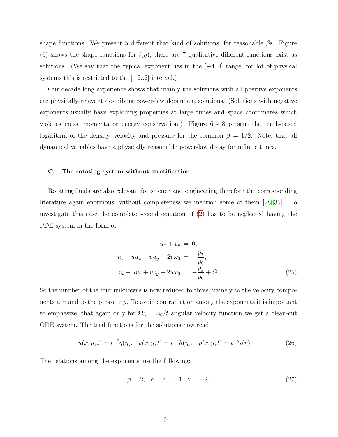shape functions. We present 5 different that kind of solutions, for reasonable  $\beta$ s. Figure (6) shows the shape functions for  $i(\eta)$ , there are 7 qualitative different functions exist as solutions. (We say that the typical exponent lies in the [−4..4] range, for lot of physical systems this is restricted to the  $[-2..2]$  interval.)

Our decade long experience shows that mainly the solutions with all positive exponents are physically relevant describing power-law dependent solutions. (Solutions with negative exponents usually have exploding properties at large times and space coordinates which violates mass, momenta or energy conservation.) Figure 6 - 8 present the tenth-based logarithm of the density, velocity and pressure for the common  $\beta = 1/2$ . Note, that all dynamical variables have a physically reasonable power-law decay for infinite times.

#### C. The rotating system without stratification

Rotating fluids are also relevant for science and engineering therefore the corresponding literature again enormous, without completeness we mention some of them [\[28–](#page-14-14)[35\]](#page-15-0). To investigate this case the complete second equation of [\(2\)](#page-2-0) has to be neglected having the PDE system in the form of:

$$
u_x + v_y = 0,
$$
  
\n
$$
u_t + uu_x + vu_y - 2v\omega_0 = -\frac{p_x}{\rho_0},
$$
  
\n
$$
v_t + uv_x + vv_y + 2u\omega_0 = -\frac{p_y}{\rho_0} + G,
$$
\n(25)

So the number of the four unknowns is now reduced to three, namely to the velocity components  $u, v$  and to the pressure  $p$ . To avoid contradiction among the exponents it is important to emphasize, that again only for  $\Omega_0^z = \omega_0/t$  angular velocity function we get a clean-cut ODE system. The trial functions for the solutions now read

$$
u(x, y, t) = t^{-\delta} g(\eta), \quad v(x, y, t) = t^{-\epsilon} h(\eta), \quad p(x, y, t) = t^{-\gamma} i(\eta).
$$
 (26)

The relations among the exponents are the following:

$$
\beta = 2, \quad \delta = \epsilon = -1 \quad \gamma = -2. \tag{27}
$$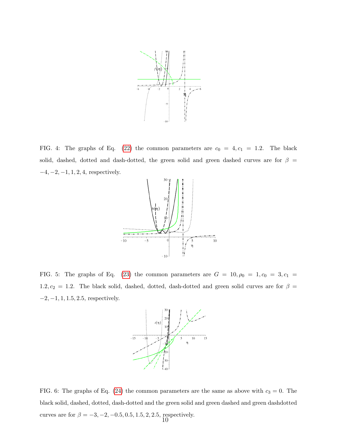

FIG. 4: The graphs of Eq. [\(22\)](#page-7-0) the common parameters are  $c_0 = 4, c_1 = 1.2$ . The black solid, dashed, dotted and dash-dotted, the green solid and green dashed curves are for  $\beta =$  $-4, -2, -1, 1, 2, 4$ , respectively.



FIG. 5: The graphs of Eq. [\(23\)](#page-7-0) the common parameters are  $G = 10, \rho_0 = 1, c_0 = 3, c_1 =$ 1.2,  $c_2 = 1.2$ . The black solid, dashed, dotted, dash-dotted and green solid curves are for  $\beta =$  $-2, -1, 1, 1.5, 2.5$ , respectively.



FIG. 6: The graphs of Eq. [\(24\)](#page-7-0) the common parameters are the same as above with  $c_3 = 0$ . The black solid, dashed, dotted, dash-dotted and the green solid and green dashed and green dashdotted curves are for  $\beta = -3, -2, -0.5, 0.5, 1.5, 2, 2.5$ , respectively.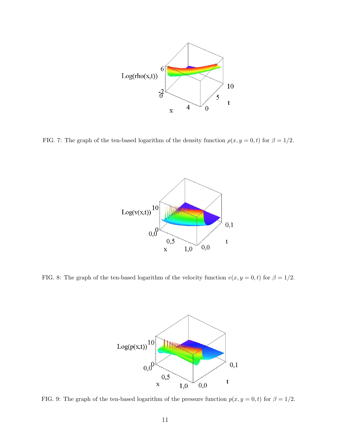

FIG. 7: The graph of the ten-based logarithm of the density function  $\rho(x, y = 0, t)$  for  $\beta = 1/2$ .



FIG. 8: The graph of the ten-based logarithm of the velocity function  $v(x, y = 0, t)$  for  $\beta = 1/2$ .



FIG. 9: The graph of the ten-based logarithm of the pressure function  $p(x, y = 0, t)$  for  $\beta = 1/2$ .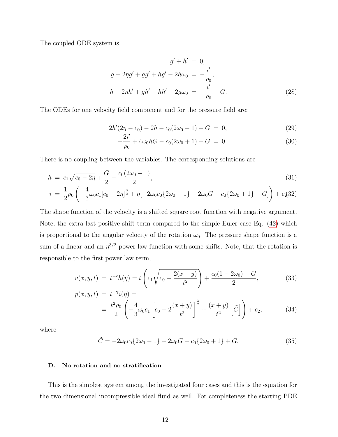The coupled ODE system is

$$
g' + h' = 0,
$$
  
\n
$$
g - 2\eta g' + gg' + hg' - 2h\omega_0 = -\frac{i'}{\rho_0},
$$
  
\n
$$
h - 2\eta h' + gh' + hh' + 2g\omega_0 = -\frac{i'}{\rho_0} + G.
$$
\n(28)

The ODEs for one velocity field component and for the pressure field are:

$$
2h'(2\eta - c_0) - 2h - c_0(2\omega_0 - 1) + G = 0,
$$
\n(29)

$$
-\frac{2i'}{\rho_0} + 4\omega_0 hG - c_0(2\omega_0 + 1) + G = 0.
$$
 (30)

There is no coupling between the variables. The corresponding solutions are

<span id="page-11-0"></span>
$$
h = c_1 \sqrt{c_0 - 2\eta} + \frac{G}{2} - \frac{c_0(2\omega_0 - 1)}{2},\tag{31}
$$

$$
i = \frac{1}{2}\rho_0 \left(-\frac{4}{3}\omega_0 c_1[c_0 - 2\eta]^{\frac{3}{2}} + \eta[-2\omega_0 c_0 \{2\omega_0 - 1\} + 2\omega_0 G - c_0 \{2\omega_0 + 1\} + G]\right) + c_2(32)
$$

The shape function of the velocity is a shifted square root function with negative argument. Note, the extra last positive shift term compared to the simple Euler case Eq. [\(42\)](#page-12-0) which is proportional to the angular velocity of the rotation  $\omega_0$ . The pressure shape function is a sum of a linear and an  $\eta^{3/2}$  power law function with some shifts. Note, that the rotation is responsible to the first power law term,

$$
v(x, y, t) = t^{-\epsilon}h(\eta) = t\left(c_1\sqrt{c_0 - \frac{2(x + y)}{t^2}}\right) + \frac{c_0(1 - 2\omega_0) + G}{2},
$$
(33)  

$$
p(x, y, t) = t^{-\gamma}i(\eta) =
$$

$$
x, y, t) = t^{-t} t(1) - t
$$
  
=  $\frac{t^2 \rho_0}{2} \left( -\frac{4}{3} \omega_0 c_1 \left[ c_0 - 2 \frac{(x+y)}{t^2} \right]^{\frac{3}{2}} + \frac{(x+y)}{t^2} \left[ \tilde{C} \right] \right) + c_2,$  (34)

where

$$
\tilde{C} = -2\omega_0 c_0 \{2\omega_0 - 1\} + 2\omega_0 G - c_0 \{2\omega_0 + 1\} + G.
$$
\n(35)

### D. No rotation and no stratification

This is the simplest system among the investigated four cases and this is the equation for the two dimensional incompressible ideal fluid as well. For completeness the starting PDE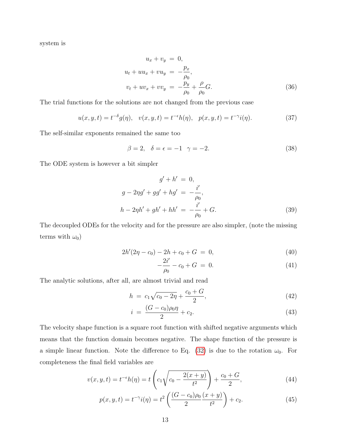system is

$$
u_x + v_y = 0,
$$
  
\n
$$
u_t + uu_x + vu_y = -\frac{p_x}{\rho_0},
$$
  
\n
$$
v_t + uv_x + vv_y = -\frac{p_y}{\rho_0} + \frac{\rho}{\rho_0}G.
$$
\n(36)

The trial functions for the solutions are not changed from the previous case

$$
u(x, y, t) = t^{-\delta} g(\eta), \quad v(x, y, t) = t^{-\epsilon} h(\eta), \quad p(x, y, t) = t^{-\gamma} i(\eta).
$$
 (37)

The self-similar exponents remained the same too

$$
\beta = 2, \quad \delta = \epsilon = -1 \quad \gamma = -2. \tag{38}
$$

The ODE system is however a bit simpler

$$
g' + h' = 0,
$$
  
\n
$$
g - 2\eta g' + gg' + hg' = -\frac{i'}{\rho_0},
$$
  
\n
$$
h - 2\eta h' + gh' + hh' = -\frac{i'}{\rho_0} + G.
$$
\n(39)

The decoupled ODEs for the velocity and for the pressure are also simpler, (note the missing terms with  $\omega_0$ )

$$
2h'(2\eta - c_0) - 2h + c_0 + G = 0, \tag{40}
$$

$$
-\frac{2i'}{\rho_0} - c_0 + G = 0.
$$
\n(41)

The analytic solutions, after all, are almost trivial and read

<span id="page-12-0"></span>
$$
h = c_1 \sqrt{c_0 - 2\eta} + \frac{c_0 + G}{2}, \tag{42}
$$

$$
i = \frac{(G - c_0)\rho_0 \eta}{2} + c_2.
$$
\n(43)

The velocity shape function is a square root function with shifted negative arguments which means that the function domain becomes negative. The shape function of the pressure is a simple linear function. Note the difference to Eq. [\(32\)](#page-11-0) is due to the rotation  $\omega_0$ . For completeness the final field variables are

$$
v(x, y, t) = t^{-\epsilon}h(\eta) = t\left(c_1\sqrt{c_0 - \frac{2(x + y)}{t^2}}\right) + \frac{c_0 + G}{2},\tag{44}
$$

$$
p(x, y, t) = t^{-\gamma} i(\eta) = t^2 \left( \frac{(G - c_0)\rho_0}{2} \frac{(x + y)}{t^2} \right) + c_2.
$$
 (45)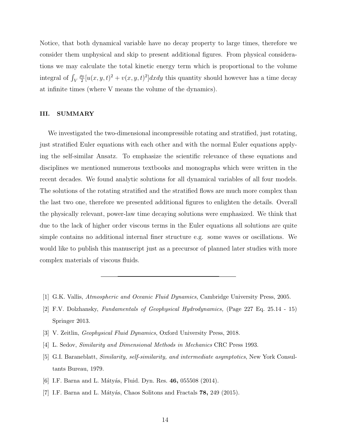Notice, that both dynamical variable have no decay property to large times, therefore we consider them unphysical and skip to present additional figures. From physical considerations we may calculate the total kinetic energy term which is proportional to the volume integral of  $\int_V$  $\rho_0$  $\frac{20}{2}[u(x, y, t)^2 + v(x, y, t)^2]$ dxdy this quantity should however has a time decay at infinite times (where V means the volume of the dynamics).

#### III. SUMMARY

We investigated the two-dimensional incompressible rotating and stratified, just rotating, just stratified Euler equations with each other and with the normal Euler equations applying the self-similar Ansatz. To emphasize the scientific relevance of these equations and disciplines we mentioned numerous textbooks and monographs which were written in the recent decades. We found analytic solutions for all dynamical variables of all four models. The solutions of the rotating stratified and the stratified flows are much more complex than the last two one, therefore we presented additional figures to enlighten the details. Overall the physically relevant, power-law time decaying solutions were emphasized. We think that due to the lack of higher order viscous terms in the Euler equations all solutions are quite simple contains no additional internal finer structure e.g. some waves or oscillations. We would like to publish this manuscript just as a precursor of planned later studies with more complex materials of viscous fluids.

- <span id="page-13-6"></span><span id="page-13-0"></span>[1] G.K. Vallis, Atmospheric and Oceanic Fluid Dynamics, Cambridge University Press, 2005.
- [2] F.V. Dolzhansky, Fundamentals of Geophysical Hydrodynamics, (Page 227 Eq. 25.14 15) Springer 2013.
- <span id="page-13-2"></span><span id="page-13-1"></span>[3] V. Zeitlin, Geophysical Fluid Dynamics, Oxford University Press, 2018.
- <span id="page-13-3"></span>[4] L. Sedov, Similarity and Dimensional Methods in Mechanics CRC Press 1993.
- [5] G.I. Baraneblatt, Similarity, self-similarity, and intermediate asymptotics, New York Consultants Bureau, 1979.
- <span id="page-13-5"></span><span id="page-13-4"></span>[6] I.F. Barna and L. Mátyás, Fluid. Dyn. Res. 46, 055508 (2014).
- [7] I.F. Barna and L. Mátyás, Chaos Solitons and Fractals  $78$ ,  $249$  (2015).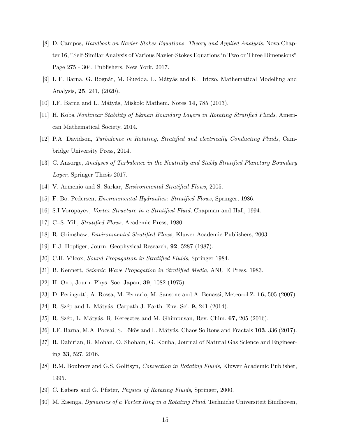- <span id="page-14-0"></span>[8] D. Campos, Handbook on Navier-Stokes Equations, Theory and Applied Analysis, Nova Chapter 16, "Self-Similar Analysis of Various Navier-Stokes Equations in Two or Three Dimensions" Page 275 - 304. Publishers, New York, 2017.
- <span id="page-14-1"></span>[9] I. F. Barna, G. Bognár, M. Guedda, L. Mátyás and K. Hriczo, Mathematical Modelling and Analysis, 25, 241, (2020).
- <span id="page-14-3"></span><span id="page-14-2"></span>[10] I.F. Barna and L. Mátyás, Miskolc Mathem. Notes 14, 785 (2013).
- [11] H. Koba Nonlinear Stability of Ekman Boundary Layers in Rotating Stratified Fluids, American Mathematical Society, 2014.
- <span id="page-14-4"></span>[12] P.A. Davidson, Turbulence in Rotating, Stratified and electrically Conducting Fluids, Cambridge University Press, 2014.
- <span id="page-14-5"></span>[13] C. Ansorge, Analyses of Turbulence in the Neutrally and Stably Stratified Planetary Boundary Layer, Springer Thesis 2017.
- [14] V. Armenio and S. Sarkar, *Environmental Stratified Flows*, 2005.
- [15] F. Bo. Pedersen, Environmental Hydraulics: Stratified Flows, Springer, 1986.
- [16] S.I Voropayev, Vortex Structure in a Stratified Fluid, Chapman and Hall, 1994.
- [17] C.-S. Yih, *Stratified Flows*, Academic Press, 1980.
- <span id="page-14-6"></span>[18] R. Grimshaw, Environmental Stratified Flows, Kluwer Academic Publishers, 2003.
- <span id="page-14-7"></span>[19] E.J. Hopfiger, Journ. Geophysical Research, 92, 5287 (1987).
- <span id="page-14-8"></span>[20] C.H. Vilcox, Sound Propagation in Stratified Fluids, Springer 1984.
- <span id="page-14-9"></span>[21] B. Kennett, Seismic Wave Propagation in Stratified Media, ANU E Press, 1983.
- <span id="page-14-10"></span>[22] H. Ono, Journ. Phys. Soc. Japan, 39, 1082 (1975).
- [23] D. Peringotti, A. Rossa, M. Ferrario, M. Sansone and A. Benassi, Meteorol Z. 16, 505 (2007).
- <span id="page-14-11"></span>[24] R. Szép and L. Mátyás, Carpath J. Earth. Env. Sci. 9, 241 (2014).
- <span id="page-14-12"></span>[25] R. Szép, L. Mátyás, R. Keresztes and M. Ghimpusan, Rev. Chim.  $67$ ,  $205$  (2016).
- <span id="page-14-13"></span>[26] I.F. Barna, M.A. Pocsai, S. Lökös and L. Mátyás, Chaos Solitons and Fractals  $103$ ,  $336$  (2017).
- [27] R. Dabirian, R. Mohan, O. Shoham, G. Kouba, Journal of Natural Gas Science and Engineering 33, 527, 2016.
- <span id="page-14-14"></span>[28] B.M. Boubnov and G.S. Golitsyn, Convection in Rotating Fluids, Kluwer Academic Publisher, 1995.
- [29] C. Egbers and G. Pfister, Physics of Rotating Fluids, Springer, 2000.
- [30] M. Eisenga, Dynamics of a Vortex Ring in a Rotating Fluid, Techniche Universiteit Eindhoven,